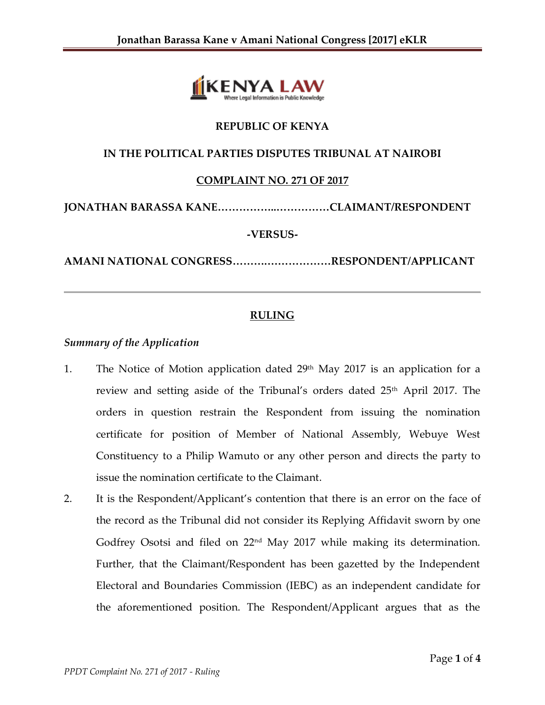

# **REPUBLIC OF KENYA**

## **IN THE POLITICAL PARTIES DISPUTES TRIBUNAL AT NAIROBI**

## **COMPLAINT NO. 271 OF 2017**

**JONATHAN BARASSA KANE……………..……………CLAIMANT/RESPONDENT**

### **-VERSUS-**

**AMANI NATIONAL CONGRESS……….………………RESPONDENT/APPLICANT**

# **RULING**

#### *Summary of the Application*

- 1. The Notice of Motion application dated  $29<sup>th</sup>$  May 2017 is an application for a review and setting aside of the Tribunal's orders dated 25<sup>th</sup> April 2017. The orders in question restrain the Respondent from issuing the nomination certificate for position of Member of National Assembly, Webuye West Constituency to a Philip Wamuto or any other person and directs the party to issue the nomination certificate to the Claimant.
- 2. It is the Respondent/Applicant's contention that there is an error on the face of the record as the Tribunal did not consider its Replying Affidavit sworn by one Godfrey Osotsi and filed on  $22<sup>nd</sup>$  May 2017 while making its determination. Further, that the Claimant/Respondent has been gazetted by the Independent Electoral and Boundaries Commission (IEBC) as an independent candidate for the aforementioned position. The Respondent/Applicant argues that as the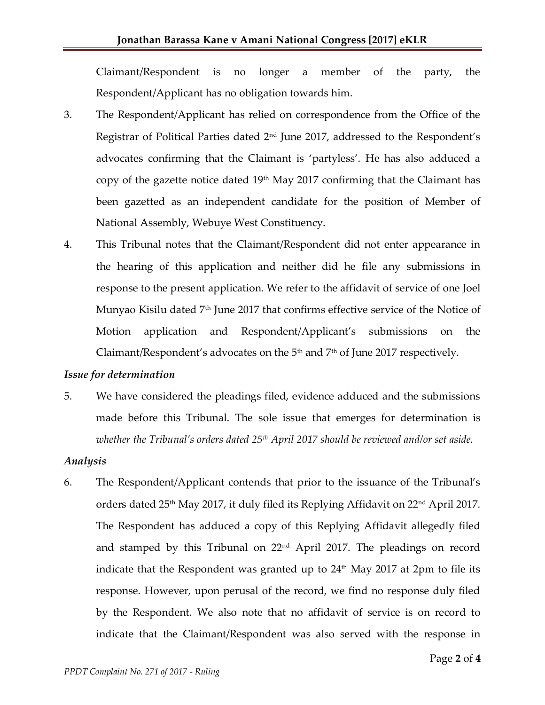Claimant/Respondent is no longer a member of the party, the Respondent/Applicant has no obligation towards him.

- 3. The Respondent/Applicant has relied on correspondence from the Office of the Registrar of Political Parties dated 2nd June 2017, addressed to the Respondent's advocates confirming that the Claimant is 'partyless'. He has also adduced a copy of the gazette notice dated  $19<sup>th</sup>$  May 2017 confirming that the Claimant has been gazetted as an independent candidate for the position of Member of National Assembly, Webuye West Constituency.
- 4. This Tribunal notes that the Claimant/Respondent did not enter appearance in the hearing of this application and neither did he file any submissions in response to the present application. We refer to the affidavit of service of one Joel Munyao Kisilu dated 7<sup>th</sup> June 2017 that confirms effective service of the Notice of Motion application and Respondent/Applicant's submissions on the Claimant/Respondent's advocates on the  $5<sup>th</sup>$  and  $7<sup>th</sup>$  of June 2017 respectively.

#### *Issue for determination*

5. We have considered the pleadings filed, evidence adduced and the submissions made before this Tribunal. The sole issue that emerges for determination is *whether the Tribunal's orders dated 25th April 2017 should be reviewed and/or set aside.*

## *Analysis*

6. The Respondent/Applicant contends that prior to the issuance of the Tribunal's orders dated 25th May 2017, it duly filed its Replying Affidavit on 22nd April 2017. The Respondent has adduced a copy of this Replying Affidavit allegedly filed and stamped by this Tribunal on  $22<sup>nd</sup>$  April 2017. The pleadings on record indicate that the Respondent was granted up to  $24<sup>th</sup>$  May 2017 at 2pm to file its response. However, upon perusal of the record, we find no response duly filed by the Respondent. We also note that no affidavit of service is on record to indicate that the Claimant/Respondent was also served with the response in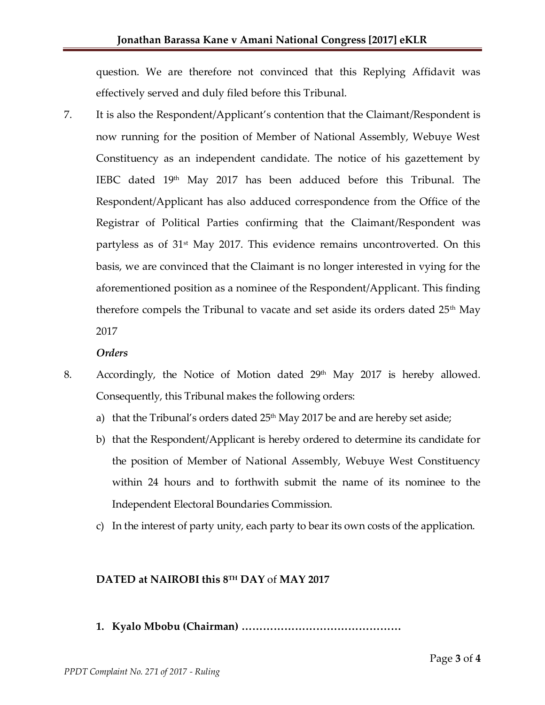question. We are therefore not convinced that this Replying Affidavit was effectively served and duly filed before this Tribunal.

7. It is also the Respondent/Applicant's contention that the Claimant/Respondent is now running for the position of Member of National Assembly, Webuye West Constituency as an independent candidate. The notice of his gazettement by IEBC dated  $19<sup>th</sup>$  May 2017 has been adduced before this Tribunal. The Respondent/Applicant has also adduced correspondence from the Office of the Registrar of Political Parties confirming that the Claimant/Respondent was partyless as of 31<sup>st</sup> May 2017. This evidence remains uncontroverted. On this basis, we are convinced that the Claimant is no longer interested in vying for the aforementioned position as a nominee of the Respondent/Applicant. This finding therefore compels the Tribunal to vacate and set aside its orders dated  $25<sup>th</sup>$  May 2017

#### *Orders*

- 8. Accordingly, the Notice of Motion dated  $29<sup>th</sup>$  May 2017 is hereby allowed. Consequently, this Tribunal makes the following orders:
	- a) that the Tribunal's orders dated  $25<sup>th</sup>$  May 2017 be and are hereby set aside;
	- b) that the Respondent/Applicant is hereby ordered to determine its candidate for the position of Member of National Assembly, Webuye West Constituency within 24 hours and to forthwith submit the name of its nominee to the Independent Electoral Boundaries Commission.
	- c) In the interest of party unity, each party to bear its own costs of the application.

## **DATED at NAIROBI this 8 TH DAY** of **MAY 2017**

**1. Kyalo Mbobu (Chairman) ………………………………………**